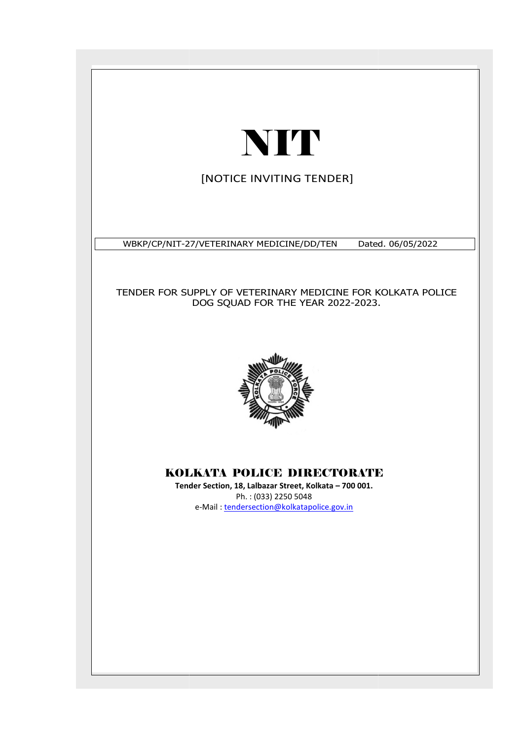# NIT

[NOTICE INVITING TENDER]

WBKP/CP/NIT-27 27/VETERINARY MEDICINE/DD/TEN Dated. Dated. 06/05/2022

TENDER FOR SUPPLY OF VETERINARY MEDICINE FOR KOLKATA POLICE DOG SQUAD FOR THE YEAR 2022-2023. .



# KOLKATA POLICE DIRECTORATE

**Tender Section, 18, Lalbazar Street, Kolkata – 700 001.** Ph. : (033) 2250 5048 e-Mail : tendersection@kolkatapolice.gov.in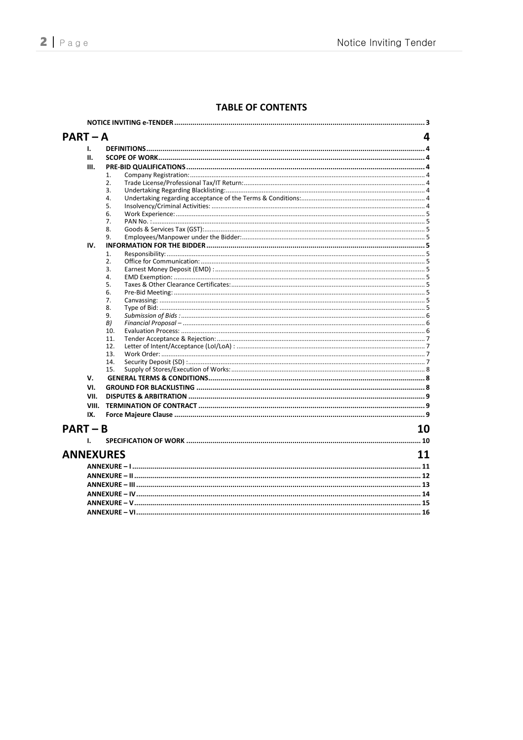### **TABLE OF CONTENTS**

| $PART - A$       |       |     | 4  |  |
|------------------|-------|-----|----|--|
|                  | ı.    |     |    |  |
|                  | П.    |     |    |  |
|                  | Ш.    |     |    |  |
|                  |       | 1.  |    |  |
|                  |       | 2.  |    |  |
|                  |       | 3.  |    |  |
|                  |       | 4.  |    |  |
|                  |       | 5.  |    |  |
|                  |       | 6.  |    |  |
|                  |       | 7.  |    |  |
|                  |       | 8.  |    |  |
|                  |       | 9.  |    |  |
|                  | IV.   |     |    |  |
|                  |       | 1.  |    |  |
|                  |       | 2.  |    |  |
|                  |       | 3.  |    |  |
|                  |       | 4.  |    |  |
|                  |       | 5.  |    |  |
|                  |       | 6.  |    |  |
|                  |       | 7.  |    |  |
|                  |       | 8.  |    |  |
|                  |       | 9.  |    |  |
|                  |       | B)  |    |  |
|                  |       | 10. |    |  |
|                  |       | 11. |    |  |
|                  |       | 12. |    |  |
|                  |       | 13. |    |  |
|                  |       | 14. |    |  |
|                  |       | 15. |    |  |
|                  | v.    |     |    |  |
|                  | VI.   |     |    |  |
|                  | VII.  |     |    |  |
|                  | VIII. |     |    |  |
|                  | IX.   |     |    |  |
|                  |       |     |    |  |
| $PART - B$       |       |     | 10 |  |
|                  | Т.    |     |    |  |
|                  |       |     |    |  |
| <b>ANNEXURES</b> |       |     | 11 |  |
|                  |       |     |    |  |
|                  |       |     |    |  |
|                  |       |     |    |  |
|                  |       |     |    |  |
|                  |       |     |    |  |
|                  |       |     |    |  |
|                  |       |     |    |  |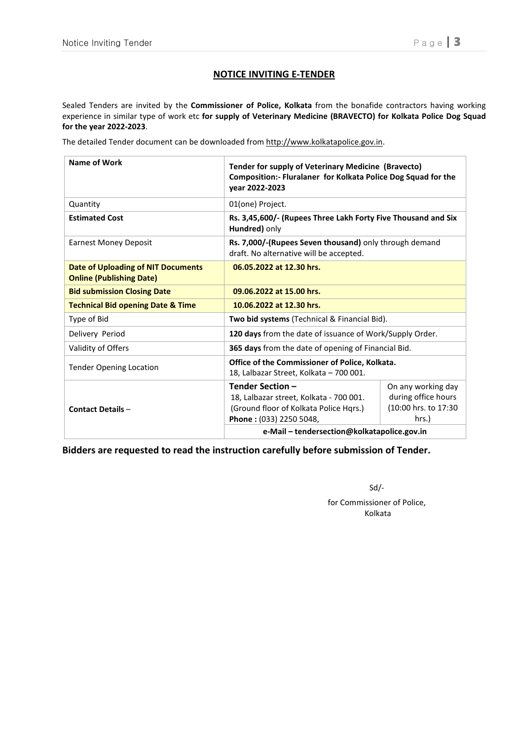#### **NOTICE INVITING E-TENDER**

Sealed Tenders are invited by the **Commissioner of Police, Kolkata** from the bonafide contractors having working experience in similar type of work etc **for supply of Veterinary Medicine (BRAVECTO) for Kolkata Police Dog Squad for the year 2022-2023**.

The detailed Tender document can be downloaded from http://www.kolkatapolice.gov.in.

| <b>Name of Work</b>                                                   | Tender for supply of Veterinary Medicine (Bravecto)<br>Composition:- Fluralaner for Kolkata Police Dog Squad for the<br>vear 2022-2023 |                     |  |  |
|-----------------------------------------------------------------------|----------------------------------------------------------------------------------------------------------------------------------------|---------------------|--|--|
| Quantity                                                              | 01(one) Project.                                                                                                                       |                     |  |  |
| <b>Estimated Cost</b>                                                 | Rs. 3,45,600/- (Rupees Three Lakh Forty Five Thousand and Six<br>Hundred) only                                                         |                     |  |  |
| <b>Earnest Money Deposit</b>                                          | Rs. 7,000/-(Rupees Seven thousand) only through demand<br>draft. No alternative will be accepted.                                      |                     |  |  |
| Date of Uploading of NIT Documents<br><b>Online (Publishing Date)</b> | 06.05.2022 at 12.30 hrs.                                                                                                               |                     |  |  |
| <b>Bid submission Closing Date</b>                                    | 09.06.2022 at 15.00 hrs.                                                                                                               |                     |  |  |
| <b>Technical Bid opening Date &amp; Time</b>                          | 10.06.2022 at 12.30 hrs.                                                                                                               |                     |  |  |
| Type of Bid                                                           | <b>Two bid systems</b> (Technical & Financial Bid).                                                                                    |                     |  |  |
| Delivery Period                                                       | 120 days from the date of issuance of Work/Supply Order.                                                                               |                     |  |  |
| Validity of Offers                                                    | 365 days from the date of opening of Financial Bid.                                                                                    |                     |  |  |
| <b>Tender Opening Location</b>                                        | Office of the Commissioner of Police, Kolkata.<br>18, Lalbazar Street, Kolkata - 700 001.                                              |                     |  |  |
|                                                                       | Tender Section-                                                                                                                        | On any working day  |  |  |
|                                                                       | 18, Lalbazar street, Kolkata - 700 001.                                                                                                | during office hours |  |  |
| <b>Contact Details -</b>                                              | (10:00 hrs. to 17:30<br>(Ground floor of Kolkata Police Hqrs.)                                                                         |                     |  |  |
|                                                                       | hrs.)<br>Phone: (033) 2250 5048,                                                                                                       |                     |  |  |
|                                                                       | e-Mail - tendersection@kolkatapolice.gov.in                                                                                            |                     |  |  |

**Bidders are requested to read the instruction carefully before submission of Tender.** 

Sd/ for Commissioner of Police, Kolkata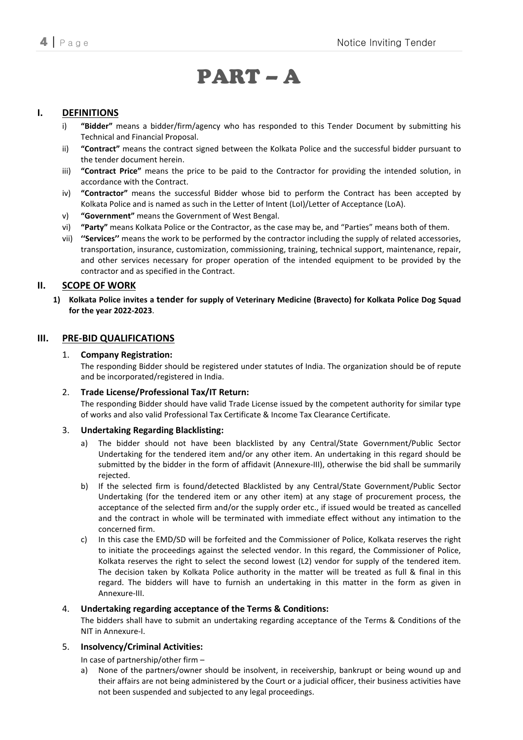# PART – A

#### **I. DEFINITIONS**

- i) **"Bidder"** means a bidder/firm/agency who has responded to this Tender Document by submitting his Technical and Financial Proposal.
- ii) **"Contract"** means the contract signed between the Kolkata Police and the successful bidder pursuant to the tender document herein.
- iii) **"Contract Price"** means the price to be paid to the Contractor for providing the intended solution, in accordance with the Contract.
- iv) **"Contractor"** means the successful Bidder whose bid to perform the Contract has been accepted by Kolkata Police and is named as such in the Letter of Intent (LoI)/Letter of Acceptance (LoA).
- v) **"Government"** means the Government of West Bengal.
- vi) **"Party"** means Kolkata Police or the Contractor, as the case may be, and "Parties" means both of them.
- vii) **''Services''** means the work to be performed by the contractor including the supply of related accessories, transportation, insurance, customization, commissioning, training, technical support, maintenance, repair, and other services necessary for proper operation of the intended equipment to be provided by the contractor and as specified in the Contract.

#### **II. SCOPE OF WORK**

**1) Kolkata Police invites a tender for supply of Veterinary Medicine (Bravecto) for Kolkata Police Dog Squad for the year 2022-2023**.

#### **III. PRE-BID QUALIFICATIONS**

#### 1. **Company Registration:**

The responding Bidder should be registered under statutes of India. The organization should be of repute and be incorporated/registered in India.

#### 2. **Trade License/Professional Tax/IT Return:**

The responding Bidder should have valid Trade License issued by the competent authority for similar type of works and also valid Professional Tax Certificate & Income Tax Clearance Certificate.

#### 3. **Undertaking Regarding Blacklisting:**

- a) The bidder should not have been blacklisted by any Central/State Government/Public Sector Undertaking for the tendered item and/or any other item. An undertaking in this regard should be submitted by the bidder in the form of affidavit (Annexure-III), otherwise the bid shall be summarily rejected.
- b) If the selected firm is found/detected Blacklisted by any Central/State Government/Public Sector Undertaking (for the tendered item or any other item) at any stage of procurement process, the acceptance of the selected firm and/or the supply order etc., if issued would be treated as cancelled and the contract in whole will be terminated with immediate effect without any intimation to the concerned firm.
- c) In this case the EMD/SD will be forfeited and the Commissioner of Police, Kolkata reserves the right to initiate the proceedings against the selected vendor. In this regard, the Commissioner of Police, Kolkata reserves the right to select the second lowest (L2) vendor for supply of the tendered item. The decision taken by Kolkata Police authority in the matter will be treated as full & final in this regard. The bidders will have to furnish an undertaking in this matter in the form as given in Annexure-III.

#### 4. **Undertaking regarding acceptance of the Terms & Conditions:**

The bidders shall have to submit an undertaking regarding acceptance of the Terms & Conditions of the NIT in Annexure-I.

#### 5. **Insolvency/Criminal Activities:**

- In case of partnership/other firm –
- a) None of the partners/owner should be insolvent, in receivership, bankrupt or being wound up and their affairs are not being administered by the Court or a judicial officer, their business activities have not been suspended and subjected to any legal proceedings.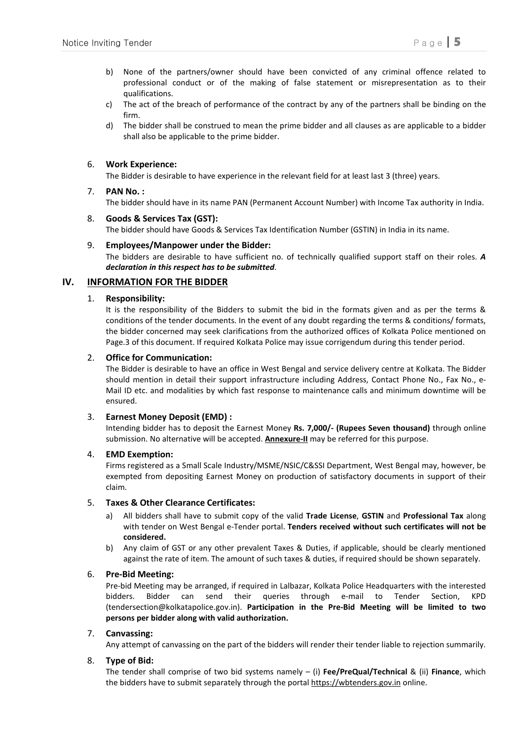- b) None of the partners/owner should have been convicted of any criminal offence related to professional conduct or of the making of false statement or misrepresentation as to their qualifications.
- c) The act of the breach of performance of the contract by any of the partners shall be binding on the firm.
- d) The bidder shall be construed to mean the prime bidder and all clauses as are applicable to a bidder shall also be applicable to the prime bidder.

#### 6. **Work Experience:**

The Bidder is desirable to have experience in the relevant field for at least last 3 (three) years.

#### 7. **PAN No. :**

The bidder should have in its name PAN (Permanent Account Number) with Income Tax authority in India.

#### 8. **Goods & Services Tax (GST):**  The bidder should have Goods & Services Tax Identification Number (GSTIN) in India in its name.

#### 9. **Employees/Manpower under the Bidder:**

The bidders are desirable to have sufficient no. of technically qualified support staff on their roles. *A declaration in this respect has to be submitted*.

#### **IV. INFORMATION FOR THE BIDDER**

#### 1. **Responsibility:**

It is the responsibility of the Bidders to submit the bid in the formats given and as per the terms & conditions of the tender documents. In the event of any doubt regarding the terms & conditions/ formats, the bidder concerned may seek clarifications from the authorized offices of Kolkata Police mentioned on Page.3 of this document. If required Kolkata Police may issue corrigendum during this tender period.

#### 2. **Office for Communication:**

The Bidder is desirable to have an office in West Bengal and service delivery centre at Kolkata. The Bidder should mention in detail their support infrastructure including Address, Contact Phone No., Fax No., e-Mail ID etc. and modalities by which fast response to maintenance calls and minimum downtime will be ensured.

#### 3. **Earnest Money Deposit (EMD) :**

Intending bidder has to deposit the Earnest Money **Rs. 7,000/- (Rupees Seven thousand)** through online submission. No alternative will be accepted. **Annexure-II** may be referred for this purpose.

#### 4. **EMD Exemption:**

Firms registered as a Small Scale Industry/MSME/NSIC/C&SSI Department, West Bengal may, however, be exempted from depositing Earnest Money on production of satisfactory documents in support of their claim.

#### 5. **Taxes & Other Clearance Certificates:**

- a) All bidders shall have to submit copy of the valid **Trade License**, **GSTIN** and **Professional Tax** along with tender on West Bengal e-Tender portal. **Tenders received without such certificates will not be considered.**
- b) Any claim of GST or any other prevalent Taxes & Duties, if applicable, should be clearly mentioned against the rate of item. The amount of such taxes & duties, if required should be shown separately.

#### 6. **Pre-Bid Meeting:**

Pre-bid Meeting may be arranged, if required in Lalbazar, Kolkata Police Headquarters with the interested bidders. Bidder can send their queries through e-mail to Tender Section, KPD (tendersection@kolkatapolice.gov.in). **Participation in the Pre-Bid Meeting will be limited to two persons per bidder along with valid authorization.** 

#### 7. **Canvassing:**

Any attempt of canvassing on the part of the bidders will render their tender liable to rejection summarily.

#### 8. **Type of Bid:**

The tender shall comprise of two bid systems namely – (i) **Fee/PreQual/Technical** & (ii) **Finance**, which the bidders have to submit separately through the portal https://wbtenders.gov.in online.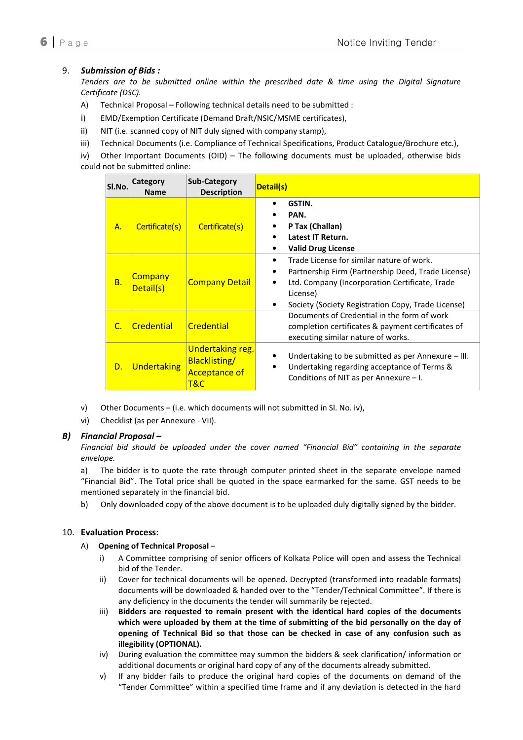#### 9. *Submission of Bids :*

*Tenders are to be submitted online within the prescribed date & time using the Digital Signature Certificate (DSC).* 

- A) Technical Proposal Following technical details need to be submitted :
- i) EMD/Exemption Certificate (Demand Draft/NSIC/MSME certificates),
- ii) NIT (i.e. scanned copy of NIT duly signed with company stamp),
- iii) Technical Documents (i.e. Compliance of Technical Specifications, Product Catalogue/Brochure etc.),

iv) Other Important Documents (OID) – The following documents must be uploaded, otherwise bids could not be submitted online:

| SI.No.      | Category<br><b>Name</b>     | Sub-Category<br><b>Description</b>                                      | Detail(s)                                                                                                                                                                                                           |
|-------------|-----------------------------|-------------------------------------------------------------------------|---------------------------------------------------------------------------------------------------------------------------------------------------------------------------------------------------------------------|
| A.          | Certificate(s)              | Certificate(s)                                                          | GSTIN.<br>PAN.<br>P Tax (Challan)<br>Latest IT Return.<br><b>Valid Drug License</b>                                                                                                                                 |
| <b>B.</b>   | <b>Company</b><br>Detail(s) | <b>Company Detail</b>                                                   | Trade License for similar nature of work.<br>Partnership Firm (Partnership Deed, Trade License)<br>Ltd. Company (Incorporation Certificate, Trade<br>License)<br>Society (Society Registration Copy, Trade License) |
| $C_{\cdot}$ | Credential                  | Credential                                                              | Documents of Credential in the form of work<br>completion certificates & payment certificates of<br>executing similar nature of works.                                                                              |
| D.          | <b>Undertaking</b>          | <b>Undertaking reg.</b><br>Blacklisting/<br><b>Acceptance of</b><br>T&C | Undertaking to be submitted as per Annexure $-$ III.<br>Undertaking regarding acceptance of Terms &<br>$\bullet$<br>Conditions of NIT as per Annexure $-1$ .                                                        |

- v) Other Documents (i.e. which documents will not submitted in Sl. No. iv),
- vi) Checklist (as per Annexure VII).

#### *B) Financial Proposal –*

*Financial bid should be uploaded under the cover named "Financial Bid" containing in the separate envelope.* 

a) The bidder is to quote the rate through computer printed sheet in the separate envelope named "Financial Bid". The Total price shall be quoted in the space earmarked for the same. GST needs to be mentioned separately in the financial bid.

b) Only downloaded copy of the above document is to be uploaded duly digitally signed by the bidder.

#### 10. **Evaluation Process:**

#### A) **Opening of Technical Proposal** –

- i) A Committee comprising of senior officers of Kolkata Police will open and assess the Technical bid of the Tender.
- ii) Cover for technical documents will be opened. Decrypted (transformed into readable formats) documents will be downloaded & handed over to the "Tender/Technical Committee". If there is any deficiency in the documents the tender will summarily be rejected.
- iii) **Bidders are requested to remain present with the identical hard copies of the documents which were uploaded by them at the time of submitting of the bid personally on the day of opening of Technical Bid so that those can be checked in case of any confusion such as illegibility (OPTIONAL).**
- iv) During evaluation the committee may summon the bidders & seek clarification/ information or additional documents or original hard copy of any of the documents already submitted.
- v) If any bidder fails to produce the original hard copies of the documents on demand of the "Tender Committee" within a specified time frame and if any deviation is detected in the hard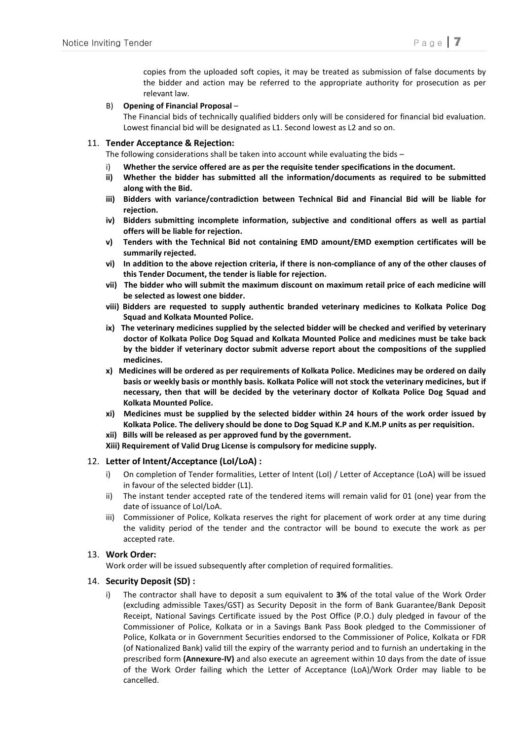copies from the uploaded soft copies, it may be treated as submission of false documents by the bidder and action may be referred to the appropriate authority for prosecution as per relevant law.

#### B) **Opening of Financial Proposal** –

The Financial bids of technically qualified bidders only will be considered for financial bid evaluation. Lowest financial bid will be designated as L1. Second lowest as L2 and so on.

#### 11. **Tender Acceptance & Rejection:**

The following considerations shall be taken into account while evaluating the bids –

- i) **Whether the service offered are as per the requisite tender specifications in the document.**
- **ii) Whether the bidder has submitted all the information/documents as required to be submitted along with the Bid.**
- **iii) Bidders with variance/contradiction between Technical Bid and Financial Bid will be liable for rejection.**
- **iv) Bidders submitting incomplete information, subjective and conditional offers as well as partial offers will be liable for rejection.**
- **v) Tenders with the Technical Bid not containing EMD amount/EMD exemption certificates will be summarily rejected.**
- **vi) In addition to the above rejection criteria, if there is non-compliance of any of the other clauses of this Tender Document, the tender is liable for rejection.**
- **vii) The bidder who will submit the maximum discount on maximum retail price of each medicine will be selected as lowest one bidder.**
- **viii) Bidders are requested to supply authentic branded veterinary medicines to Kolkata Police Dog Squad and Kolkata Mounted Police.**
- **ix) The veterinary medicines supplied by the selected bidder will be checked and verified by veterinary doctor of Kolkata Police Dog Squad and Kolkata Mounted Police and medicines must be take back by the bidder if veterinary doctor submit adverse report about the compositions of the supplied medicines.**
- **x) Medicines will be ordered as per requirements of Kolkata Police. Medicines may be ordered on daily basis or weekly basis or monthly basis. Kolkata Police will not stock the veterinary medicines, but if necessary, then that will be decided by the veterinary doctor of Kolkata Police Dog Squad and Kolkata Mounted Police.**
- **xi) Medicines must be supplied by the selected bidder within 24 hours of the work order issued by Kolkata Police. The delivery should be done to Dog Squad K.P and K.M.P units as per requisition.**
- **xii) Bills will be released as per approved fund by the government.**
- **Xiii) Requirement of Valid Drug License is compulsory for medicine supply.**

#### 12. **Letter of Intent/Acceptance (LoI/LoA) :**

- i) On completion of Tender formalities, Letter of Intent (LoI) / Letter of Acceptance (LoA) will be issued in favour of the selected bidder (L1).
- ii) The instant tender accepted rate of the tendered items will remain valid for 01 (one) year from the date of issuance of LoI/LoA.
- iii) Commissioner of Police, Kolkata reserves the right for placement of work order at any time during the validity period of the tender and the contractor will be bound to execute the work as per accepted rate.

#### 13. **Work Order:**

Work order will be issued subsequently after completion of required formalities.

#### 14. **Security Deposit (SD) :**

i) The contractor shall have to deposit a sum equivalent to **3%** of the total value of the Work Order (excluding admissible Taxes/GST) as Security Deposit in the form of Bank Guarantee/Bank Deposit Receipt, National Savings Certificate issued by the Post Office (P.O.) duly pledged in favour of the Commissioner of Police, Kolkata or in a Savings Bank Pass Book pledged to the Commissioner of Police, Kolkata or in Government Securities endorsed to the Commissioner of Police, Kolkata or FDR (of Nationalized Bank) valid till the expiry of the warranty period and to furnish an undertaking in the prescribed form **(Annexure-IV)** and also execute an agreement within 10 days from the date of issue of the Work Order failing which the Letter of Acceptance (LoA)/Work Order may liable to be cancelled.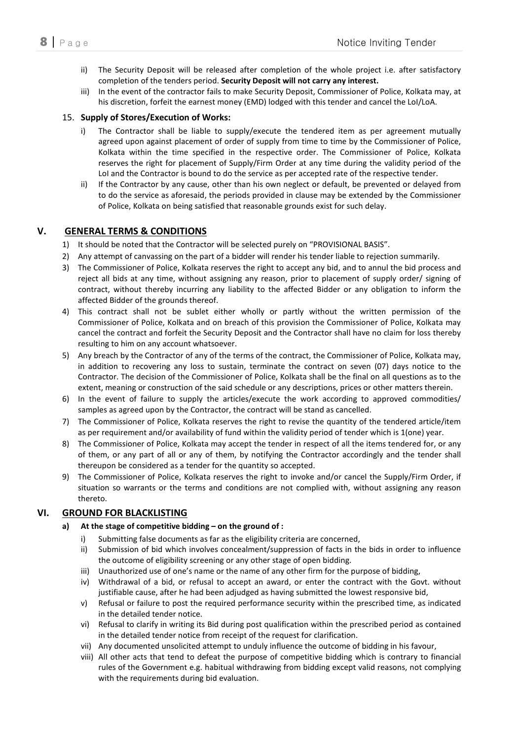- ii) The Security Deposit will be released after completion of the whole project i.e. after satisfactory completion of the tenders period. **Security Deposit will not carry any interest.**
- iii) In the event of the contractor fails to make Security Deposit, Commissioner of Police, Kolkata may, at his discretion, forfeit the earnest money (EMD) lodged with this tender and cancel the LoI/LoA.

#### 15. **Supply of Stores/Execution of Works:**

- i) The Contractor shall be liable to supply/execute the tendered item as per agreement mutually agreed upon against placement of order of supply from time to time by the Commissioner of Police, Kolkata within the time specified in the respective order. The Commissioner of Police, Kolkata reserves the right for placement of Supply/Firm Order at any time during the validity period of the LoI and the Contractor is bound to do the service as per accepted rate of the respective tender.
- ii) If the Contractor by any cause, other than his own neglect or default, be prevented or delayed from to do the service as aforesaid, the periods provided in clause may be extended by the Commissioner of Police, Kolkata on being satisfied that reasonable grounds exist for such delay.

#### **V. GENERAL TERMS & CONDITIONS**

- 1) It should be noted that the Contractor will be selected purely on "PROVISIONAL BASIS".
- 2) Any attempt of canvassing on the part of a bidder will render his tender liable to rejection summarily.
- 3) The Commissioner of Police, Kolkata reserves the right to accept any bid, and to annul the bid process and reject all bids at any time, without assigning any reason, prior to placement of supply order/ signing of contract, without thereby incurring any liability to the affected Bidder or any obligation to inform the affected Bidder of the grounds thereof.
- 4) This contract shall not be sublet either wholly or partly without the written permission of the Commissioner of Police, Kolkata and on breach of this provision the Commissioner of Police, Kolkata may cancel the contract and forfeit the Security Deposit and the Contractor shall have no claim for loss thereby resulting to him on any account whatsoever.
- 5) Any breach by the Contractor of any of the terms of the contract, the Commissioner of Police, Kolkata may, in addition to recovering any loss to sustain, terminate the contract on seven (07) days notice to the Contractor. The decision of the Commissioner of Police, Kolkata shall be the final on all questions as to the extent, meaning or construction of the said schedule or any descriptions, prices or other matters therein.
- 6) In the event of failure to supply the articles/execute the work according to approved commodities/ samples as agreed upon by the Contractor, the contract will be stand as cancelled.
- 7) The Commissioner of Police, Kolkata reserves the right to revise the quantity of the tendered article/item as per requirement and/or availability of fund within the validity period of tender which is 1(one) year.
- 8) The Commissioner of Police, Kolkata may accept the tender in respect of all the items tendered for, or any of them, or any part of all or any of them, by notifying the Contractor accordingly and the tender shall thereupon be considered as a tender for the quantity so accepted.
- 9) The Commissioner of Police, Kolkata reserves the right to invoke and/or cancel the Supply/Firm Order, if situation so warrants or the terms and conditions are not complied with, without assigning any reason thereto.

#### **VI. GROUND FOR BLACKLISTING**

#### **a) At the stage of competitive bidding – on the ground of :**

- i) Submitting false documents as far as the eligibility criteria are concerned,
- ii) Submission of bid which involves concealment/suppression of facts in the bids in order to influence the outcome of eligibility screening or any other stage of open bidding.
- iii) Unauthorized use of one's name or the name of any other firm for the purpose of bidding,
- iv) Withdrawal of a bid, or refusal to accept an award, or enter the contract with the Govt. without justifiable cause, after he had been adjudged as having submitted the lowest responsive bid,
- v) Refusal or failure to post the required performance security within the prescribed time, as indicated in the detailed tender notice.
- vi) Refusal to clarify in writing its Bid during post qualification within the prescribed period as contained in the detailed tender notice from receipt of the request for clarification.
- vii) Any documented unsolicited attempt to unduly influence the outcome of bidding in his favour,
- viii) All other acts that tend to defeat the purpose of competitive bidding which is contrary to financial rules of the Government e.g. habitual withdrawing from bidding except valid reasons, not complying with the requirements during bid evaluation.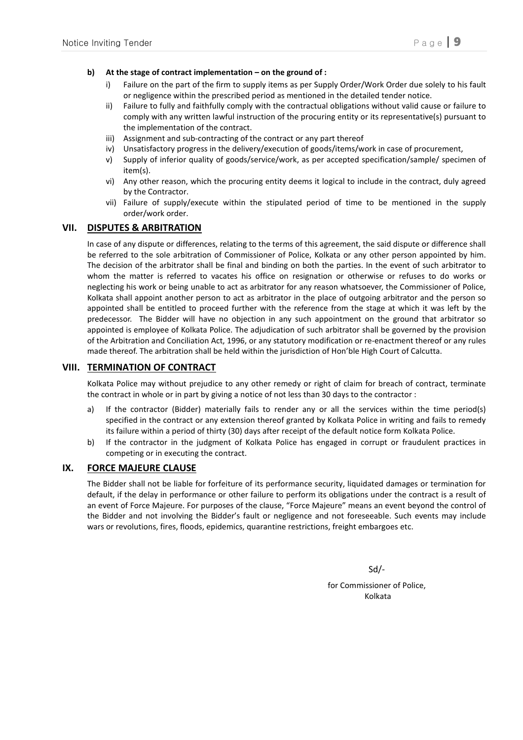#### **b) At the stage of contract implementation – on the ground of :**

- i) Failure on the part of the firm to supply items as per Supply Order/Work Order due solely to his fault or negligence within the prescribed period as mentioned in the detailed tender notice.
- ii) Failure to fully and faithfully comply with the contractual obligations without valid cause or failure to comply with any written lawful instruction of the procuring entity or its representative(s) pursuant to the implementation of the contract.
- iii) Assignment and sub-contracting of the contract or any part thereof
- iv) Unsatisfactory progress in the delivery/execution of goods/items/work in case of procurement,
- v) Supply of inferior quality of goods/service/work, as per accepted specification/sample/ specimen of item(s).
- vi) Any other reason, which the procuring entity deems it logical to include in the contract, duly agreed by the Contractor.
- vii) Failure of supply/execute within the stipulated period of time to be mentioned in the supply order/work order.

#### **VII. DISPUTES & ARBITRATION**

In case of any dispute or differences, relating to the terms of this agreement, the said dispute or difference shall be referred to the sole arbitration of Commissioner of Police, Kolkata or any other person appointed by him. The decision of the arbitrator shall be final and binding on both the parties. In the event of such arbitrator to whom the matter is referred to vacates his office on resignation or otherwise or refuses to do works or neglecting his work or being unable to act as arbitrator for any reason whatsoever, the Commissioner of Police, Kolkata shall appoint another person to act as arbitrator in the place of outgoing arbitrator and the person so appointed shall be entitled to proceed further with the reference from the stage at which it was left by the predecessor. The Bidder will have no objection in any such appointment on the ground that arbitrator so appointed is employee of Kolkata Police. The adjudication of such arbitrator shall be governed by the provision of the Arbitration and Conciliation Act, 1996, or any statutory modification or re-enactment thereof or any rules made thereof. The arbitration shall be held within the jurisdiction of Hon'ble High Court of Calcutta.

#### **VIII. TERMINATION OF CONTRACT**

Kolkata Police may without prejudice to any other remedy or right of claim for breach of contract, terminate the contract in whole or in part by giving a notice of not less than 30 days to the contractor :

- a) If the contractor (Bidder) materially fails to render any or all the services within the time period(s) specified in the contract or any extension thereof granted by Kolkata Police in writing and fails to remedy its failure within a period of thirty (30) days after receipt of the default notice form Kolkata Police.
- b) If the contractor in the judgment of Kolkata Police has engaged in corrupt or fraudulent practices in competing or in executing the contract.

#### **IX. FORCE MAJEURE CLAUSE**

The Bidder shall not be liable for forfeiture of its performance security, liquidated damages or termination for default, if the delay in performance or other failure to perform its obligations under the contract is a result of an event of Force Majeure. For purposes of the clause, "Force Majeure" means an event beyond the control of the Bidder and not involving the Bidder's fault or negligence and not foreseeable. Such events may include wars or revolutions, fires, floods, epidemics, quarantine restrictions, freight embargoes etc.

Sd/-

for Commissioner of Police, Kolkata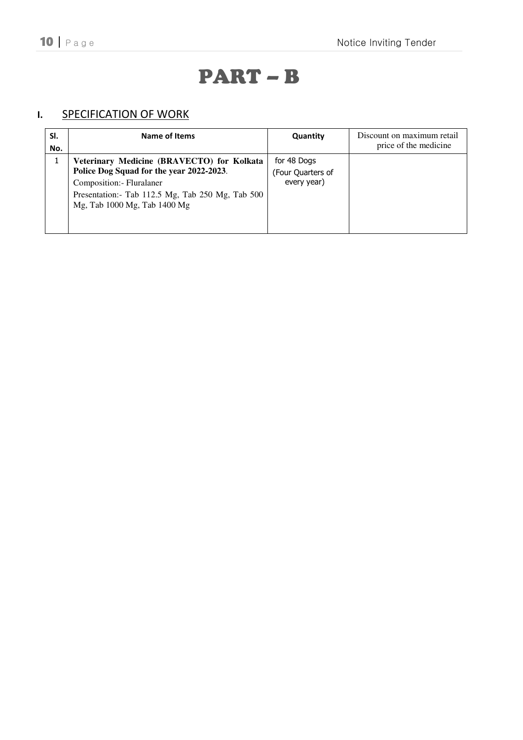# PART – B

# **I.** SPECIFICATION OF WORK

| SI.<br>No. | Name of Items                                                                                                                                                                                            | Quantity                                        | Discount on maximum retail<br>price of the medicine |
|------------|----------------------------------------------------------------------------------------------------------------------------------------------------------------------------------------------------------|-------------------------------------------------|-----------------------------------------------------|
|            | Veterinary Medicine (BRAVECTO) for Kolkata<br>Police Dog Squad for the year 2022-2023.<br>Composition: - Fluralaner<br>Presentation: - Tab 112.5 Mg, Tab 250 Mg, Tab 500<br>Mg, Tab 1000 Mg, Tab 1400 Mg | for 48 Dogs<br>(Four Quarters of<br>every year) |                                                     |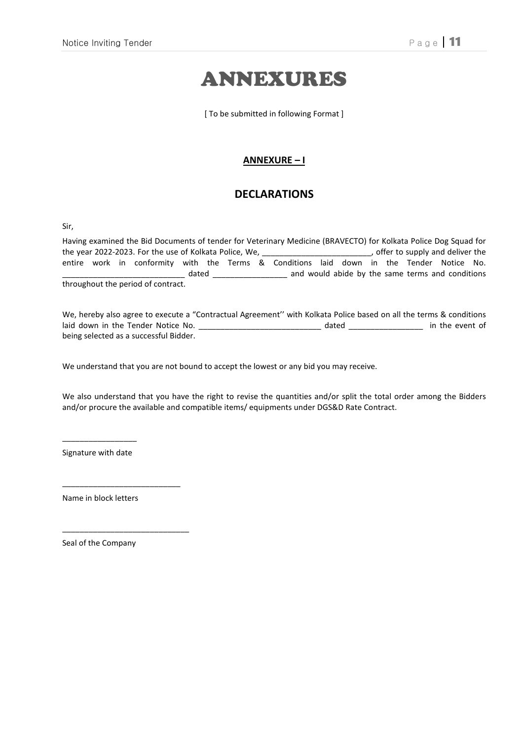# ANNEXURES

[ To be submitted in following Format ]

#### **ANNEXURE – I**

### **DECLARATIONS**

Sir,

Having examined the Bid Documents of tender for Veterinary Medicine (BRAVECTO) for Kolkata Police Dog Squad for<br>the year 2022-2023. For the use of Kolkata Police, We, \_\_\_\_\_\_\_\_\_\_\_\_\_\_\_\_\_\_\_\_\_\_\_\_\_, offer to supply and deliver the year 2022-2023. For the use of Kolkata Police, We, \_\_\_\_\_\_\_\_\_\_\_\_\_\_\_\_\_\_\_\_\_\_\_\_\_ entire work in conformity with the Terms & Conditions laid down in the Tender Notice No. dated \_\_\_\_\_\_\_\_\_\_\_\_\_\_\_\_\_\_\_\_\_\_ and would abide by the same terms and conditions throughout the period of contract.

We, hereby also agree to execute a "Contractual Agreement'' with Kolkata Police based on all the terms & conditions laid down in the Tender Notice No. \_\_\_\_\_\_\_\_\_\_\_\_\_\_\_\_\_\_\_\_\_\_\_\_\_\_\_\_\_\_\_\_\_\_ dated \_\_\_\_\_\_\_\_\_\_\_\_\_\_\_\_\_\_\_\_\_ in the event of being selected as a successful Bidder.

We understand that you are not bound to accept the lowest or any bid you may receive.

We also understand that you have the right to revise the quantities and/or split the total order among the Bidders and/or procure the available and compatible items/ equipments under DGS&D Rate Contract.

 $\overline{\phantom{a}}$  , we can also the contract of  $\overline{\phantom{a}}$ Signature with date

Name in block letters

\_\_\_\_\_\_\_\_\_\_\_\_\_\_\_\_\_\_\_\_\_\_\_\_\_\_\_

\_\_\_\_\_\_\_\_\_\_\_\_\_\_\_\_\_\_\_\_\_\_\_\_\_\_\_\_\_

Seal of the Company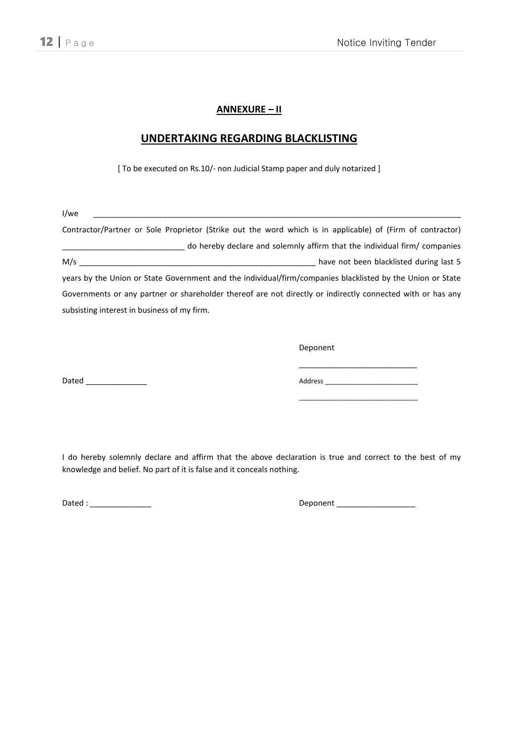#### **ANNEXURE – II**

#### **UNDERTAKING REGARDING BLACKLISTING**

[ To be executed on Rs.10/- non Judicial Stamp paper and duly notarized ]

| l/we                                                                                                       |  |
|------------------------------------------------------------------------------------------------------------|--|
| Contractor/Partner or Sole Proprietor (Strike out the word which is in applicable) of (Firm of contractor) |  |
| do hereby declare and solemnly affirm that the individual firm/ companies                                  |  |
| M/s<br>have not been blacklisted during last 5                                                             |  |
| years by the Union or State Government and the individual/firm/companies blacklisted by the Union or State |  |
| Governments or any partner or shareholder thereof are not directly or indirectly connected with or has any |  |
| subsisting interest in business of my firm.                                                                |  |

Deponent

\_\_\_\_\_\_\_\_\_\_\_\_\_\_\_\_\_\_\_\_\_\_\_\_\_\_\_ Dated \_\_\_\_\_\_\_\_\_\_\_\_\_\_ Address \_\_\_\_\_\_\_\_\_\_\_\_\_\_\_\_\_\_\_\_\_\_\_\_\_

\_\_\_\_\_\_\_\_\_\_\_\_\_\_\_\_\_\_\_\_\_\_\_\_\_\_\_\_\_\_\_\_

I do hereby solemnly declare and affirm that the above declaration is true and correct to the best of my knowledge and belief. No part of it is false and it conceals nothing.

Dated : \_\_\_\_\_\_\_\_\_\_\_\_\_\_ Deponent \_\_\_\_\_\_\_\_\_\_\_\_\_\_\_\_\_\_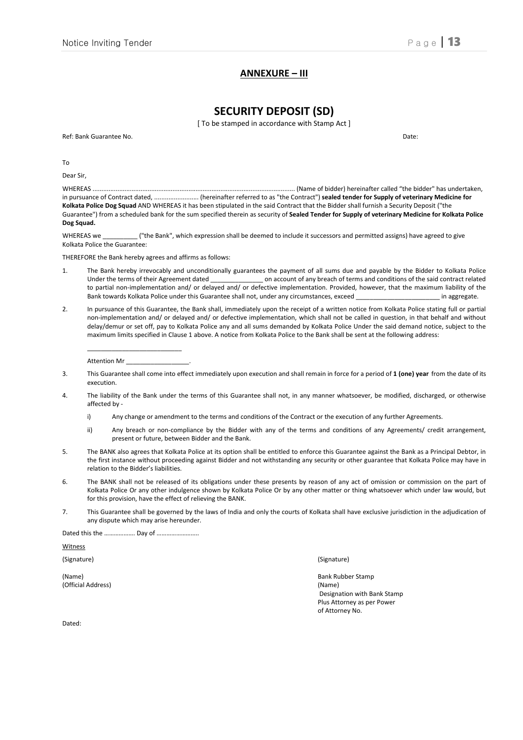#### **ANNEXURE – III**

#### **SECURITY DEPOSIT (SD)**

[ To be stamped in accordance with Stamp Act ]

Ref: Bank Guarantee No. Date: 2008. Communication of the United States of the United States of the United States of the United States of the United States of the United States of the United States of the United States of t

To

Dear Sir,

WHEREAS .................................................................................................................. (Name of bidder) hereinafter called "the bidder" has undertaken, in pursuance of Contract dated, ......................... (hereinafter referred to as "the Contract") **sealed tender for Supply of veterinary Medicine for Kolkata Police Dog Squad** AND WHEREAS it has been stipulated in the said Contract that the Bidder shall furnish a Security Deposit ("the Guarantee") from a scheduled bank for the sum specified therein as security of **Sealed Tender for Supply of veterinary Medicine for Kolkata Police Dog Squad.** 

WHEREAS we \_\_\_\_\_\_\_\_\_ ("the Bank", which expression shall be deemed to include it successors and permitted assigns) have agreed to give Kolkata Police the Guarantee:

THEREFORE the Bank hereby agrees and affirms as follows:

- 1. The Bank hereby irrevocably and unconditionally guarantees the payment of all sums due and payable by the Bidder to Kolkata Police Under the terms of their Agreement dated **on account of any breach of terms and conditions of the said contract related** to partial non-implementation and/ or delayed and/ or defective implementation. Provided, however, that the maximum liability of the Bank towards Kolkata Police under this Guarantee shall not, under any circumstances, exceed example in aggregate.
- 2. In pursuance of this Guarantee, the Bank shall, immediately upon the receipt of a written notice from Kolkata Police stating full or partial non-implementation and/ or delayed and/ or defective implementation, which shall not be called in question, in that behalf and without delay/demur or set off, pay to Kolkata Police any and all sums demanded by Kolkata Police Under the said demand notice, subject to the maximum limits specified in Clause 1 above. A notice from Kolkata Police to the Bank shall be sent at the following address:

Attention Mr

 $\frac{1}{2}$  ,  $\frac{1}{2}$  ,  $\frac{1}{2}$  ,  $\frac{1}{2}$  ,  $\frac{1}{2}$  ,  $\frac{1}{2}$  ,  $\frac{1}{2}$  ,  $\frac{1}{2}$  ,  $\frac{1}{2}$  ,  $\frac{1}{2}$  ,  $\frac{1}{2}$  ,  $\frac{1}{2}$  ,  $\frac{1}{2}$  ,  $\frac{1}{2}$  ,  $\frac{1}{2}$  ,  $\frac{1}{2}$  ,  $\frac{1}{2}$  ,  $\frac{1}{2}$  ,  $\frac{1$ 

- 3. This Guarantee shall come into effect immediately upon execution and shall remain in force for a period of **1 (one) year** from the date of its execution.
- 4. The liability of the Bank under the terms of this Guarantee shall not, in any manner whatsoever, be modified, discharged, or otherwise affected by
	- i) Any change or amendment to the terms and conditions of the Contract or the execution of any further Agreements.
	- ii) Any breach or non-compliance by the Bidder with any of the terms and conditions of any Agreements/ credit arrangement, present or future, between Bidder and the Bank.
- 5. The BANK also agrees that Kolkata Police at its option shall be entitled to enforce this Guarantee against the Bank as a Principal Debtor, in the first instance without proceeding against Bidder and not withstanding any security or other guarantee that Kolkata Police may have in relation to the Bidder's liabilities.
- 6. The BANK shall not be released of its obligations under these presents by reason of any act of omission or commission on the part of Kolkata Police Or any other indulgence shown by Kolkata Police Or by any other matter or thing whatsoever which under law would, but for this provision, have the effect of relieving the BANK.
- 7. This Guarantee shall be governed by the laws of India and only the courts of Kolkata shall have exclusive jurisdiction in the adjudication of any dispute which may arise hereunder.

Dated this the ………………… Day of ………………………

Witness

(Name) Bank Rubber Stamp (Official Address) (Name)

(Signature) (Signature)

 Designation with Bank Stamp Plus Attorney as per Power of Attorney No.

Dated: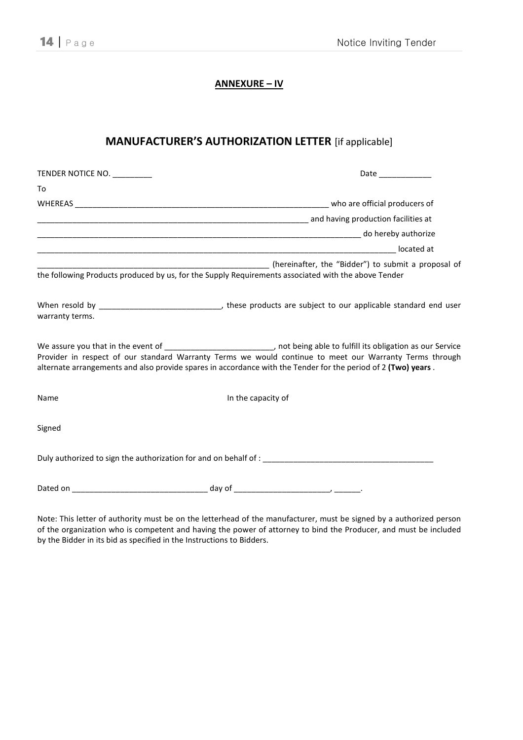#### **ANNEXURE – IV**

## **MANUFACTURER'S AUTHORIZATION LETTER** [if applicable]

| TENDER NOTICE NO. |                                                                                                                                                                                                                                                                                                                                                       |
|-------------------|-------------------------------------------------------------------------------------------------------------------------------------------------------------------------------------------------------------------------------------------------------------------------------------------------------------------------------------------------------|
| To                |                                                                                                                                                                                                                                                                                                                                                       |
|                   |                                                                                                                                                                                                                                                                                                                                                       |
|                   | did not a control and having production facilities at the control of the control of the control of the control o                                                                                                                                                                                                                                      |
|                   |                                                                                                                                                                                                                                                                                                                                                       |
|                   |                                                                                                                                                                                                                                                                                                                                                       |
|                   | (hereinafter, the "Bidder") to submit a proposal of<br>the following Products produced by us, for the Supply Requirements associated with the above Tender                                                                                                                                                                                            |
| warranty terms.   |                                                                                                                                                                                                                                                                                                                                                       |
|                   | We assure you that in the event of _____________________________, not being able to fulfill its obligation as our Service<br>Provider in respect of our standard Warranty Terms we would continue to meet our Warranty Terms through<br>alternate arrangements and also provide spares in accordance with the Tender for the period of 2 (Two) years. |
| Name              | In the capacity of                                                                                                                                                                                                                                                                                                                                    |
| Signed            |                                                                                                                                                                                                                                                                                                                                                       |
|                   | Duly authorized to sign the authorization for and on behalf of :                                                                                                                                                                                                                                                                                      |
|                   |                                                                                                                                                                                                                                                                                                                                                       |

Note: This letter of authority must be on the letterhead of the manufacturer, must be signed by a authorized person of the organization who is competent and having the power of attorney to bind the Producer, and must be included by the Bidder in its bid as specified in the Instructions to Bidders.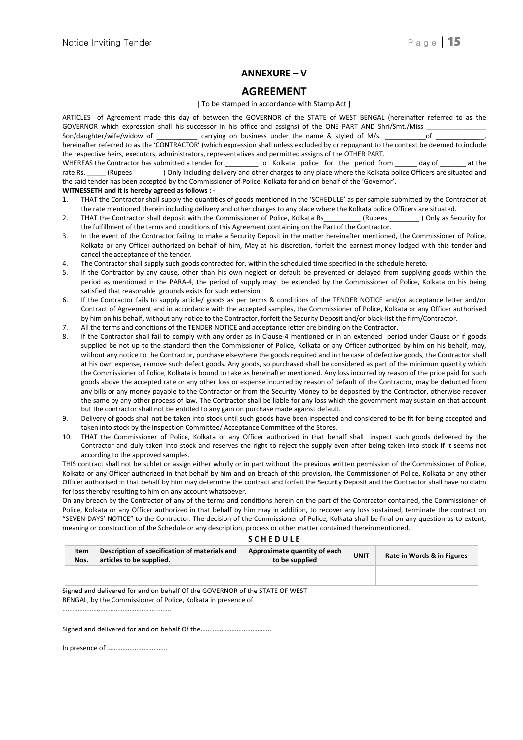#### **ANNEXURE – V**

#### **AGREEMENT**

#### [ To be stamped in accordance with Stamp Act ]

ARTICLES of Agreement made this day of between the GOVERNOR of the STATE of WEST BENGAL (hereinafter referred to as the GOVERNOR which expression shall his successor in his office and assigns) of the ONE PART AND Shri/Smt./Miss Son/daughter/wife/widow of \_\_\_\_\_\_\_\_\_\_\_ carrying on business under the name & styled of M/s. \_\_\_\_\_\_\_\_\_\_\_of \_\_\_\_\_\_\_\_\_\_\_\_\_, hereinafter referred to as the 'CONTRACTOR' (which expression shall unless excluded by or repugnant to the context be deemed to include the respective heirs, executors, administrators, representatives and permitted assigns of the OTHER PART. WHEREAS the Contractor has submitted a tender for The Molkata police for the period from a day of The at the rate Rs. \_\_\_\_\_ (Rupees ) Only Including delivery and other charges to any place where the Kolkata police Officers are situated and

the said tender has been accepted by the Commissioner of Police, Kolkata for and on behalf of the 'Governor'.

#### **WITNESSETH and it is hereby agreed as follows : -**

- 1. THAT the Contractor shall supply the quantities of goods mentioned in the 'SCHEDULE' as per sample submitted by the Contractor at the rate mentioned therein including delivery and other charges to any place where the Kolkata police Officers are situated.
- 2. THAT the Contractor shall deposit with the Commissioner of Police, Kolkata Rs\_\_\_\_\_\_\_\_\_ (Rupees \_\_\_\_\_\_\_\_ ) Only as Security for the fulfillment of the terms and conditions of this Agreement containing on the Part of the Contractor.
- 3. In the event of the Contractor failing to make a Security Deposit in the matter hereinafter mentioned, the Commissioner of Police, Kolkata or any Officer authorized on behalf of him, May at his discretion, forfeit the earnest money lodged with this tender and cancel the acceptance of the tender.
- 4. The Contractor shall supply such goods contracted for, within the scheduled time specified in the schedule hereto.
- 5. If the Contractor by any cause, other than his own neglect or default be prevented or delayed from supplying goods within the period as mentioned in the PARA-4, the period of supply may be extended by the Commissioner of Police, Kolkata on his being satisfied that reasonable grounds exists for such extension.
- 6. If the Contractor fails to supply article/ goods as per terms & conditions of the TENDER NOTICE and/or acceptance letter and/or Contract of Agreement and in accordance with the accepted samples, the Commissioner of Police, Kolkata or any Officer authorised by him on his behalf, without any notice to the Contractor, forfeit the Security Deposit and/or black-list the firm/Contractor.
- 7. All the terms and conditions of the TENDER NOTICE and acceptance letter are binding on the Contractor.
- 8. If the Contractor shall fail to comply with any order as in Clause-4 mentioned or in an extended period under Clause or if goods supplied be not up to the standard then the Commissioner of Police, Kolkata or any Officer authorized by him on his behalf, may, without any notice to the Contractor, purchase elsewhere the goods required and in the case of defective goods, the Contractor shall at his own expense, remove such defect goods. Any goods, so purchased shall be considered as part of the minimum quantity which the Commissioner of Police, Kolkata is bound to take as hereinafter mentioned. Any loss incurred by reason of the price paid for such goods above the accepted rate or any other loss or expense incurred by reason of default of the Contractor, may be deducted from any bills or any money payable to the Contractor or from the Security Money to be deposited by the Contractor, otherwise recover the same by any other process of law. The Contractor shall be liable for any loss which the government may sustain on that account but the contractor shall not be entitled to any gain on purchase made against default.
- 9. Delivery of goods shall not be taken into stock until such goods have been inspected and considered to be fit for being accepted and taken into stock by the Inspection Committee/ Acceptance Committee of the Stores.
- 10. THAT the Commissioner of Police, Kolkata or any Officer authorized in that behalf shall inspect such goods delivered by the Contractor and duly taken into stock and reserves the right to reject the supply even after being taken into stock if it seems not according to the approved samples.

THIS contract shall not be sublet or assign either wholly or in part without the previous written permission of the Commissioner of Police, Kolkata or any Officer authorized in that behalf by him and on breach of this provision, the Commissioner of Police, Kolkata or any other Officer authorised in that behalf by him may determine the contract and forfeit the Security Deposit and the Contractor shall have no claim for loss thereby resulting to him on any account whatsoever.

On any breach by the Contractor of any of the terms and conditions herein on the part of the Contractor contained, the Commissioner of Police, Kolkata or any Officer authorized in that behalf by him may in addition, to recover any loss sustained, terminate the contract on "SEVEN DAYS' NOTICE" to the Contractor. The decision of the Commissioner of Police, Kolkata shall be final on any question as to extent, meaning or construction of the Schedule or any description, process or other matter contained therein mentioned.

#### **S C H E D U L E**

| Item<br>Nos. | Description of specification of materials and<br>articles to be supplied. | Approximate quantity of each<br>to be supplied | <b>UNIT</b> | Rate in Words & in Figures |  |
|--------------|---------------------------------------------------------------------------|------------------------------------------------|-------------|----------------------------|--|
|              |                                                                           |                                                |             |                            |  |

Signed and delivered for and on behalf Of the GOVERNOR of the STATE OF WEST BENGAL, by the Commissioner of Police, Kolkata in presence of

Signed and delivered for and on behalf Of the……………………………………………………………………………………………

In presence of ……………………………..

………………………………………………..…….